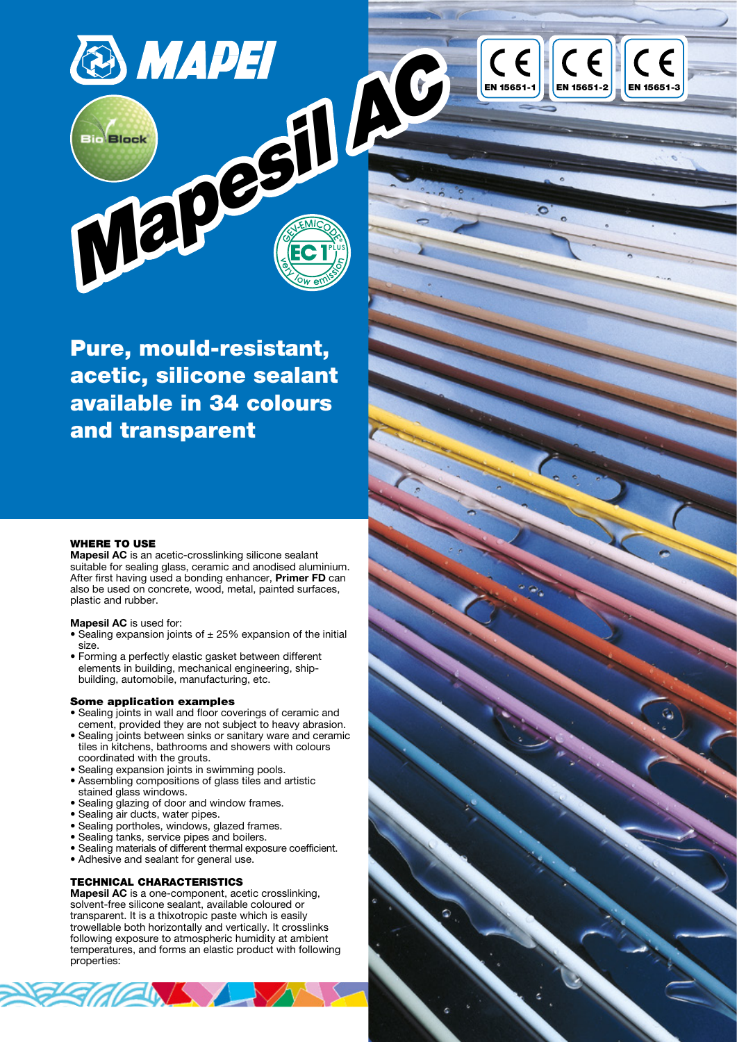

Pure, mould-resistant, acetic, silicone sealant available in 34 colours and transparent

#### WHERE TO USE

Mapesil AC is an acetic-crosslinking silicone sealant suitable for sealing glass, ceramic and anodised aluminium. After first having used a bonding enhancer, Primer FD can also be used on concrete, wood, metal, painted surfaces, plastic and rubber.

#### Mapesil AC is used for:

- Sealing expansion joints of  $\pm 25%$  expansion of the initial size.
- Forming a perfectly elastic gasket between different elements in building, mechanical engineering, shipbuilding, automobile, manufacturing, etc.

#### Some application examples

- Sealing joints in wall and floor coverings of ceramic and cement, provided they are not subject to heavy abrasion.
- Sealing joints between sinks or sanitary ware and ceramic tiles in kitchens, bathrooms and showers with colours coordinated with the grouts.
- Sealing expansion joints in swimming pools.
- Assembling compositions of glass tiles and artistic stained glass windows.
- Sealing glazing of door and window frames.
- Sealing air ducts, water pipes.
- Sealing portholes, windows, glazed frames.
- Sealing tanks, service pipes and boilers.
- Sealing materials of different thermal exposure coefficient.
- Adhesive and sealant for general use.

**ENS** 

#### TECHNICAL CHARACTERISTICS

Mapesil AC is a one-component, acetic crosslinking, solvent-free silicone sealant, available coloured or transparent. It is a thixotropic paste which is easily trowellable both horizontally and vertically. It crosslinks following exposure to atmospheric humidity at ambient temperatures, and forms an elastic product with following properties:

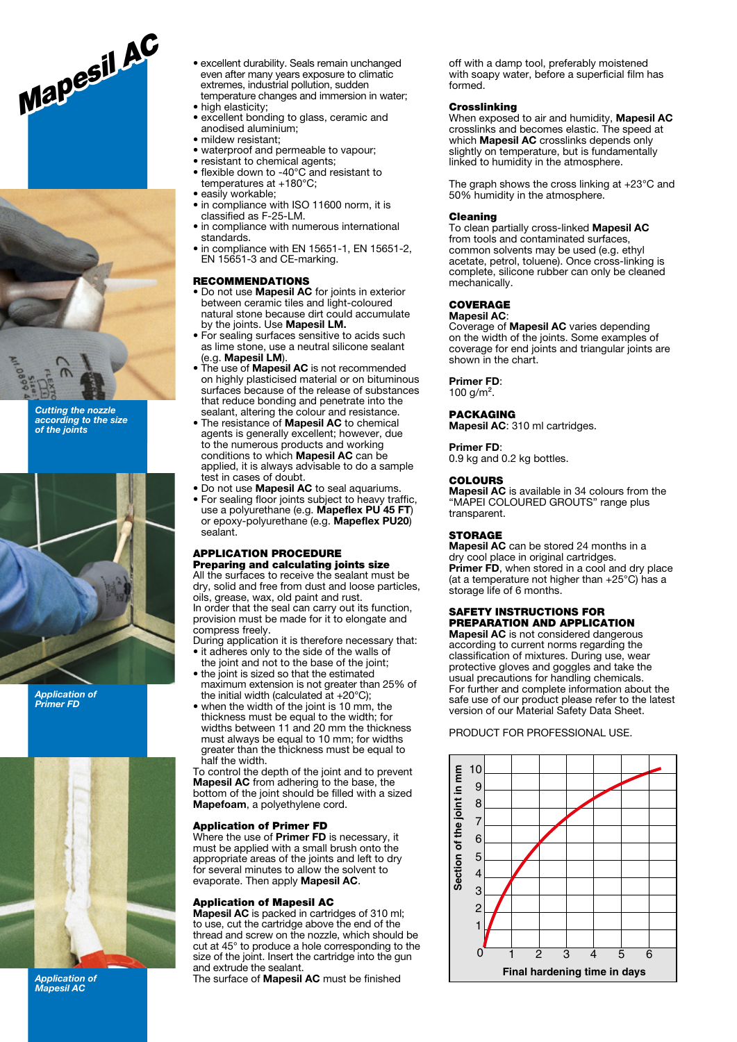



Cutting the nozzle according to the size of the joints



Application of Primer FD



Application of Mapesil AC

- excellent durability. Seals remain unchanged even after many years exposure to climatic extremes, industrial pollution, sudden temperature changes and immersion in water;
- high elasticity;
- excellent bonding to glass, ceramic and anodised aluminium;
- mildew resistant;
- waterproof and permeable to vapour;
- resistant to chemical agents;
- flexible down to -40°C and resistant to temperatures at +180°C;
- easily workable;
- in compliance with ISO 11600 norm, it is classified as F-25-LM.
- in compliance with numerous international standards.
- in compliance with EN 15651-1, EN 15651-2, EN 15651-3 and CE-marking.

#### RECOMMENDATIONS

- Do not use **Mapesil AC** for joints in exterior between ceramic tiles and light-coloured natural stone because dirt could accumulate by the joints. Use Mapesil LM.
- For sealing surfaces sensitive to acids such as lime stone, use a neutral silicone sealant (e.g. Mapesil LM).
- The use of **Mapesil AC** is not recommended on highly plasticised material or on bituminous surfaces because of the release of substances that reduce bonding and penetrate into the sealant, altering the colour and resistance.
- The resistance of Mapesil AC to chemical agents is generally excellent; however, due to the numerous products and working conditions to which Mapesil AC can be applied, it is always advisable to do a sample test in cases of doubt.
- Do not use Mapesil AC to seal aquariums.
- For sealing floor joints subject to heavy traffic, use a polyurethane (e.g. Mapeflex PU 45 FT) or epoxy-polyurethane (e.g. Mapeflex PU20) sealant.

#### APPLICATION PROCEDURE Preparing and calculating joints size

All the surfaces to receive the sealant must be dry, solid and free from dust and loose particles, oils, grease, wax, old paint and rust. In order that the seal can carry out its function.

provision must be made for it to elongate and compress freely.

During application it is therefore necessary that: • it adheres only to the side of the walls of

- the joint and not to the base of the joint; • the joint is sized so that the estimated
- maximum extension is not greater than 25% of the initial width (calculated at +20°C);
- when the width of the joint is 10 mm, the thickness must be equal to the width; for widths between 11 and 20 mm the thickness must always be equal to 10 mm; for widths greater than the thickness must be equal to half the width.

To control the depth of the joint and to prevent **Mapesil AC** from adhering to the base, the bottom of the joint should be filled with a sized Mapefoam, a polyethylene cord.

#### Application of Primer FD

Where the use of **Primer FD** is necessary, it must be applied with a small brush onto the appropriate areas of the joints and left to dry for several minutes to allow the solvent to evaporate. Then apply Mapesil AC.

#### Application of Mapesil AC

Mapesil AC is packed in cartridges of 310 ml; to use, cut the cartridge above the end of the thread and screw on the nozzle, which should be cut at 45° to produce a hole corresponding to the size of the joint. Insert the cartridge into the gun and extrude the sealant.

The surface of Mapesil AC must be finished

off with a damp tool, preferably moistened with soapy water, before a superficial film has formed.

#### **Crosslinking**

When exposed to air and humidity, Mapesil AC crosslinks and becomes elastic. The speed at which **Mapesil AC** crosslinks depends only slightly on temperature, but is fundamentally linked to humidity in the atmosphere.

The graph shows the cross linking at +23°C and 50% humidity in the atmosphere.

#### Cleaning

To clean partially cross-linked Mapesil AC from tools and contaminated surfaces, common solvents may be used (e.g. ethyl acetate, petrol, toluene). Once cross-linking is complete, silicone rubber can only be cleaned mechanically.

#### COVERAGE Mapesil AC:

Coverage of Mapesil AC varies depending on the width of the joints. Some examples of coverage for end joints and triangular joints are shown in the chart.

#### Primer FD:

100  $q/m^2$ .

**PACKAGING** Mapesil AC: 310 ml cartridges.

#### Primer FD:

0.9 kg and 0.2 kg bottles.

#### **COLOURS**

Mapesil AC is available in 34 colours from the "MAPEI COLOURED GROUTS" range plus transparent.

#### **STORAGE**

Mapesil AC can be stored 24 months in a dry cool place in original cartridges. Primer FD, when stored in a cool and dry place (at a temperature not higher than +25°C) has a storage life of 6 months.

#### SAFETY INSTRUCTIONS FOR PREPARATION AND APPLICATION

Mapesil AC is not considered dangerous according to current norms regarding the classification of mixtures. During use, wear protective gloves and goggles and take the usual precautions for handling chemicals. For further and complete information about the safe use of our product please refer to the latest version of our Material Safety Data Sheet.

PRODUCT FOR PROFESSIONAL USE.

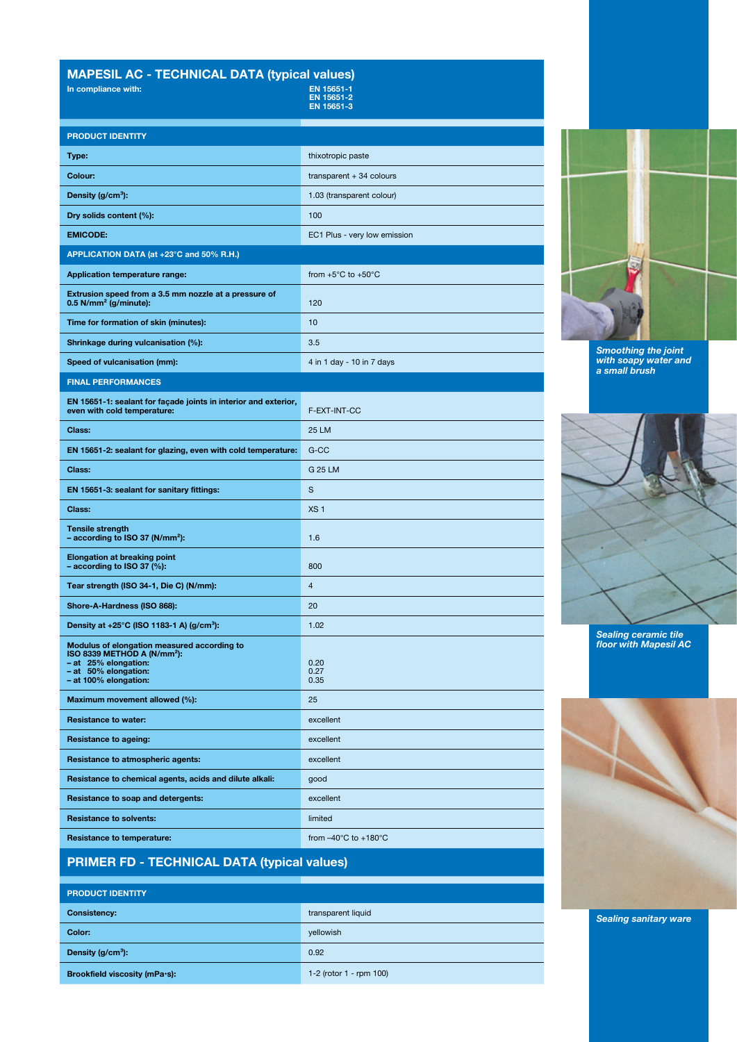# MAPESIL AC - TECHNICAL DATA (typical values)<br>In compliance with: EN 15651-1

| In compliance with:                                                                                                                                             | EN 15651-1<br>EN 15651-2<br>EN 15651-3   |
|-----------------------------------------------------------------------------------------------------------------------------------------------------------------|------------------------------------------|
| <b>PRODUCT IDENTITY</b>                                                                                                                                         |                                          |
| Type:                                                                                                                                                           | thixotropic paste                        |
| Colour:                                                                                                                                                         | transparent $+34$ colours                |
| Density $(g/cm^3)$ :                                                                                                                                            | 1.03 (transparent colour)                |
| Dry solids content (%):                                                                                                                                         | 100                                      |
| <b>EMICODE:</b>                                                                                                                                                 | EC1 Plus - very low emission             |
| APPLICATION DATA (at +23°C and 50% R.H.)                                                                                                                        |                                          |
| <b>Application temperature range:</b>                                                                                                                           | from $+5^{\circ}$ C to $+50^{\circ}$ C   |
| Extrusion speed from a 3.5 mm nozzle at a pressure of<br>$0.5$ N/mm <sup>2</sup> (g/minute):                                                                    | 120                                      |
| Time for formation of skin (minutes):                                                                                                                           | 10                                       |
| Shrinkage during vulcanisation (%):                                                                                                                             | 3.5                                      |
| Speed of vulcanisation (mm):                                                                                                                                    | 4 in 1 day - 10 in 7 days                |
| <b>FINAL PERFORMANCES</b>                                                                                                                                       |                                          |
| EN 15651-1: sealant for façade joints in interior and exterior,<br>even with cold temperature:                                                                  | F-EXT-INT-CC                             |
| Class:                                                                                                                                                          | 25 LM                                    |
| EN 15651-2: sealant for glazing, even with cold temperature:                                                                                                    | G-CC                                     |
| Class:                                                                                                                                                          | G 25 LM                                  |
| EN 15651-3: sealant for sanitary fittings:                                                                                                                      | S                                        |
| Class:                                                                                                                                                          | XS <sub>1</sub>                          |
| <b>Tensile strength</b><br>- according to ISO 37 ( $N/mm^2$ ):                                                                                                  | 1.6                                      |
| <b>Elongation at breaking point</b><br>$-$ according to ISO 37 (%):                                                                                             | 800                                      |
| Tear strength (ISO 34-1, Die C) (N/mm):                                                                                                                         | $\overline{4}$                           |
| Shore-A-Hardness (ISO 868):                                                                                                                                     | 20                                       |
| Density at +25°C (ISO 1183-1 A) (g/cm <sup>3</sup> ):                                                                                                           | 1.02                                     |
| Modulus of elongation measured according to<br>ISO 8339 METHOD A (N/mm <sup>2</sup> ):<br>- at 25% elongation:<br>- at 50% elongation:<br>- at 100% elongation: | 0.20<br>0.27<br>0.35                     |
| Maximum movement allowed (%):                                                                                                                                   | 25                                       |
| <b>Resistance to water:</b>                                                                                                                                     | excellent                                |
| <b>Resistance to ageing:</b>                                                                                                                                    | excellent                                |
| Resistance to atmospheric agents:                                                                                                                               | excellent                                |
| Resistance to chemical agents, acids and dilute alkali:                                                                                                         | qood                                     |
| Resistance to soap and detergents:                                                                                                                              | excellent                                |
| <b>Resistance to solvents:</b>                                                                                                                                  | limited                                  |
| <b>Resistance to temperature:</b>                                                                                                                               | from $-40^{\circ}$ C to $+180^{\circ}$ C |

Smoothing the joint with soapy water and a small brush



Sealing ceramic tile floor with Mapesil AC



# PRIMER FD - TECHNICAL DATA (typical values)

| <b>PRODUCT IDENTITY</b>       |                         |
|-------------------------------|-------------------------|
| <b>Consistency:</b>           | transparent liquid      |
| Color:                        | yellowish               |
| Density (g/cm <sup>3</sup> ): | 0.92                    |
| Brookfield viscosity (mPa·s): | 1-2 (rotor 1 - rpm 100) |

Sealing sanitary ware